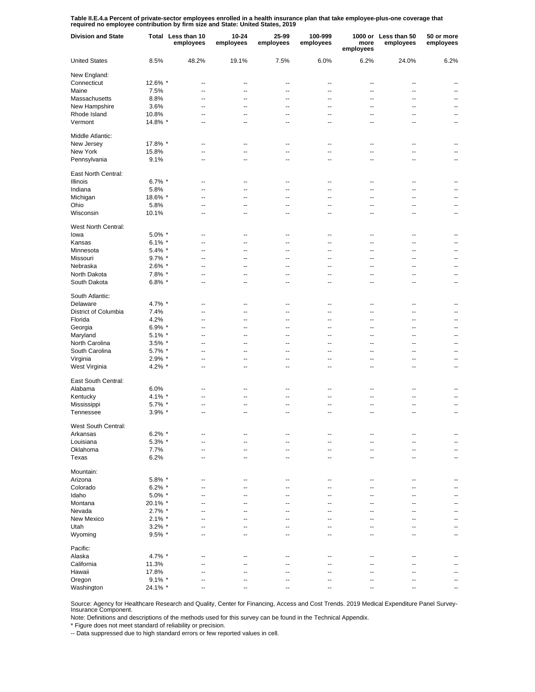**Table II.E.4.a Percent of private-sector employees enrolled in a health insurance plan that take employee-plus-one coverage that required no employee contribution by firm size and State: United States, 2019**

| <b>Division and State</b> |           | Total Less than 10<br>employees | 10-24<br>employees | 25-99<br>employees       | 100-999<br>employees     | more<br>employees        | 1000 or Less than 50<br>employees | 50 or more<br>employees  |
|---------------------------|-----------|---------------------------------|--------------------|--------------------------|--------------------------|--------------------------|-----------------------------------|--------------------------|
| <b>United States</b>      | 8.5%      | 48.2%                           | 19.1%              | 7.5%                     | 6.0%                     | 6.2%                     | 24.0%                             | 6.2%                     |
| New England:              |           |                                 |                    |                          |                          |                          |                                   |                          |
| Connecticut               | 12.6% *   | --                              | ц.                 | ٠.                       | --                       | ٠.                       | ٠.                                |                          |
| Maine                     | 7.5%      | --                              | --                 | --                       | $\overline{a}$           | --                       | ٠.                                | ۵.                       |
| Massachusetts             | 8.8%      | --                              | ٠.                 | ٠.                       | --                       | ٠.                       | ۵.                                | $\overline{a}$           |
| New Hampshire             | 3.6%      | --                              | --                 | --                       | $\overline{a}$           | --                       | ٠.                                | $\overline{a}$           |
| Rhode Island              | 10.8%     | --                              | --                 | --                       | --                       | Ц.                       | ٠.                                | $\overline{a}$           |
| Vermont                   | 14.8% *   | --                              | --                 | --                       | $\overline{a}$           | --                       | --                                | $\overline{\phantom{a}}$ |
| Middle Atlantic:          |           |                                 |                    |                          |                          |                          |                                   |                          |
| New Jersey                | 17.8% *   |                                 |                    |                          |                          | --                       |                                   |                          |
| New York                  | 15.8%     | --                              | --                 | --                       | $\overline{a}$           | -−                       | ۵.                                |                          |
| Pennsylvania              | 9.1%      |                                 | --                 | --                       | --                       | --                       | --                                |                          |
| East North Central:       |           |                                 |                    |                          |                          |                          |                                   |                          |
| Illinois                  | 6.7% $*$  | --                              | --                 | $\overline{\phantom{a}}$ | $\overline{\phantom{a}}$ | $\overline{\phantom{a}}$ | $\overline{\phantom{a}}$          | $\overline{\phantom{a}}$ |
| Indiana                   | 5.8%      | --                              | --                 | --                       | $\overline{\phantom{a}}$ | --                       | $\overline{\phantom{a}}$          | --                       |
|                           |           | --                              | --                 | --                       | $\overline{\phantom{a}}$ | $\overline{\phantom{a}}$ | $\overline{\phantom{a}}$          | --                       |
| Michigan                  | 18.6% *   |                                 |                    |                          |                          |                          |                                   |                          |
| Ohio                      | 5.8%      | --                              | --                 | $\overline{\phantom{a}}$ | $\overline{\phantom{a}}$ | $\overline{\phantom{a}}$ | $\overline{\phantom{a}}$          | $\overline{\phantom{a}}$ |
| Wisconsin                 | 10.1%     | --                              | --                 | --                       | $\overline{\phantom{a}}$ | $\overline{\phantom{a}}$ | $\overline{\phantom{a}}$          | $\overline{\phantom{a}}$ |
| West North Central:       |           |                                 |                    |                          |                          |                          |                                   |                          |
| lowa                      | $5.0\%$ * | --                              | --                 | ٠.                       | --                       | ц.                       | ٠.                                | --                       |
| Kansas                    | 6.1% $*$  | --                              | --                 | --                       | $\overline{a}$           | Ц.                       | ٠.                                | $\overline{a}$           |
| Minnesota                 | $5.4\%$ * | --                              | --                 | --                       | --                       | --                       | ٠.                                | --                       |
| Missouri                  | $9.7\%$ * | --                              | --                 | --                       | $\overline{a}$           | --                       | --                                | --                       |
| Nebraska                  | $2.6\%$ * | --                              | --                 | ٠.                       | --                       | ۵.                       | ۵.                                | $\overline{a}$           |
| North Dakota              | 7.8% *    | --                              | --                 | --                       | --                       | --                       | ٠.                                | --                       |
| South Dakota              | 6.8% $*$  | --                              | ٠.                 | ٠.                       | ٠.                       | --                       | ۵.                                | --                       |
| South Atlantic:           |           |                                 |                    |                          |                          |                          |                                   |                          |
| Delaware                  | 4.7% *    | --                              | --                 |                          | --                       | --                       |                                   |                          |
| District of Columbia      | 7.4%      | --                              | --                 | ٠.                       | --                       | --                       | ۵.                                |                          |
| Florida                   | 4.2%      | --                              | --                 | --                       | --                       | --                       | --                                | --                       |
|                           |           |                                 | --                 |                          | $\overline{a}$           | ۵.                       |                                   | --                       |
| Georgia                   | $6.9\%$ * | --                              |                    | --                       |                          |                          | --                                |                          |
| Maryland                  | $5.1\%$ * | --                              | --                 | ٠.                       | --                       | ц,                       | --                                | --                       |
| North Carolina            | $3.5\%$ * | --                              | --                 | $\overline{a}$           | $\overline{a}$           | ц,                       | $-$                               | --                       |
| South Carolina            | 5.7% *    | Ξ.                              | --                 | $\overline{a}$           | $\overline{a}$           | --                       | $\overline{a}$                    | $\overline{a}$           |
| Virginia                  | $2.9\%$ * | --                              | --                 | $\overline{a}$           | $\overline{a}$           | --                       | $\overline{a}$                    | --                       |
| West Virginia             | 4.2% $*$  | $\overline{a}$                  | --                 | $\overline{a}$           | $\overline{a}$           | --                       | $\overline{a}$                    | $\overline{a}$           |
| East South Central:       |           |                                 |                    |                          |                          |                          |                                   |                          |
| Alabama                   | 6.0%      | --                              | --                 | --                       | $\sim$                   | --                       | $\overline{\phantom{a}}$          |                          |
| Kentucky                  | $4.1\%$ * | --                              | --                 | --                       | $\overline{\phantom{a}}$ | --                       | --                                |                          |
| Mississippi               | $5.7\%$ * | --                              | --                 | --                       | $\overline{\phantom{a}}$ | --                       | --                                | $\overline{\phantom{a}}$ |
| Tennessee                 | $3.9\%$ * | --                              | --                 | --                       | $\overline{\phantom{a}}$ | --                       | $\overline{\phantom{a}}$          | $\overline{\phantom{a}}$ |
| West South Central:       |           |                                 |                    |                          |                          |                          |                                   |                          |
| Arkansas                  | $6.2\%$ * | --                              | ٠.                 | ٠.                       | --                       | ٠.                       |                                   |                          |
| Louisiana                 | 5.3% *    | --                              | --                 | --                       | $\overline{a}$           | --                       | ц.                                | --                       |
| Oklahoma                  | 7.7%      | --                              | --                 | --                       | --                       | --                       | ٠.                                | --                       |
| Texas                     | 6.2%      | --                              | --                 | --                       | --                       | --                       | --                                | --                       |
| Mountain:                 |           |                                 |                    |                          |                          |                          |                                   |                          |
| Arizona                   | 5.8% *    |                                 |                    |                          |                          |                          |                                   |                          |
|                           |           | --                              | --                 | --                       | --                       | --                       | $\overline{\phantom{a}}$          |                          |
| Colorado                  | $6.2\%$ * | Ξ.                              | --                 | ٠.                       | $\overline{a}$           | $\overline{a}$           | $\overline{a}$                    |                          |
| Idaho                     | 5.0% *    | $\overline{a}$                  | --                 | $\overline{a}$           | $\overline{a}$           | ц,                       | $\overline{\phantom{a}}$          |                          |
| Montana                   | 20.1% *   | $\overline{a}$                  | $\overline{a}$     | $\overline{a}$           | $\overline{a}$           | $\overline{a}$           | $\overline{a}$                    | --                       |
| Nevada                    | $2.7\%$ * | $\overline{a}$                  | --                 | $\overline{a}$           | $\overline{a}$           | ц,                       | $\overline{\phantom{a}}$          |                          |
| New Mexico                | $2.1\%$ * | --                              | --                 | $\overline{a}$           | $\overline{a}$           | ÷-                       | --                                |                          |
| Utah                      | $3.2\%$ * | ۵.                              | --                 | $\overline{a}$           | $\overline{a}$           | ц,                       | $\overline{\phantom{a}}$          |                          |
| Wyoming                   | $9.5\%$ * | ۵.                              | --                 | ٠.                       | $\overline{a}$           | --                       | $\overline{a}$                    | $\overline{a}$           |
| Pacific:                  |           |                                 |                    |                          |                          |                          |                                   |                          |
| Alaska                    | 4.7% *    | --                              | --                 | $\overline{\phantom{a}}$ | $\sim$                   | $\overline{\phantom{a}}$ | $\sim$                            |                          |
| California                | 11.3%     | --                              | --                 | --                       | $\overline{\phantom{a}}$ | $\overline{\phantom{a}}$ | $\overline{\phantom{a}}$          |                          |
| Hawaii                    | 17.8%     | --                              | --                 | $\overline{\phantom{a}}$ | $\sim$                   | $\overline{\phantom{a}}$ | $\overline{\phantom{a}}$          | $\overline{\phantom{a}}$ |
| Oregon                    | $9.1\%$ * | --                              | --                 | --                       | $\overline{\phantom{a}}$ | $\overline{\phantom{a}}$ | $\overline{\phantom{a}}$          | $\overline{\phantom{a}}$ |
| Washington                | 24.1% *   | --                              | --                 | $\overline{\phantom{a}}$ | $\sim$                   | $\overline{\phantom{a}}$ | $\overline{\phantom{a}}$          | $\overline{\phantom{a}}$ |

Source: Agency for Healthcare Research and Quality, Center for Financing, Access and Cost Trends. 2019 Medical Expenditure Panel Survey-Insurance Component.

Note: Definitions and descriptions of the methods used for this survey can be found in the Technical Appendix.

\* Figure does not meet standard of reliability or precision.

-- Data suppressed due to high standard errors or few reported values in cell.